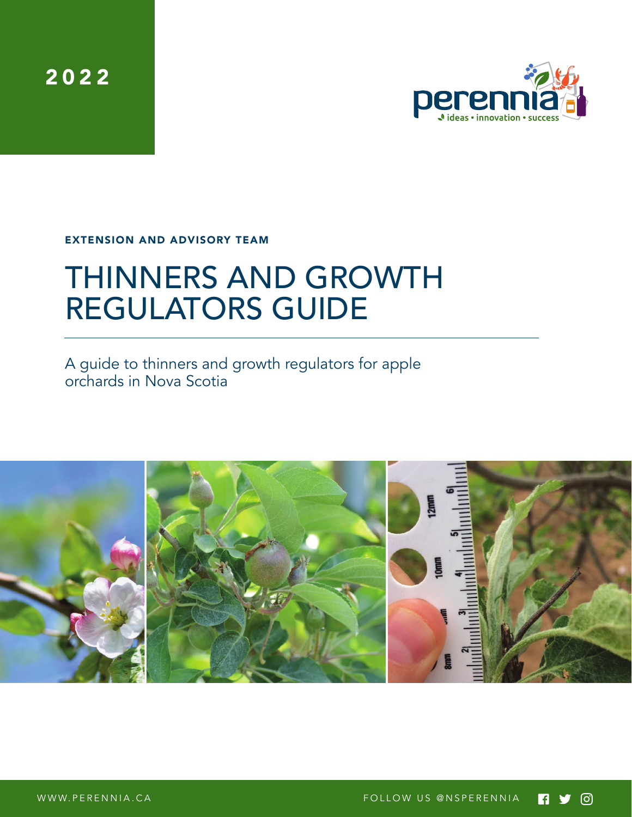2022



EXTENSION AND ADVISORY TEAM

# THINNERS AND GROWTH REGULATORS GUIDE

A guide to thinners and growth regulators for apple orchards in Nova Scotia

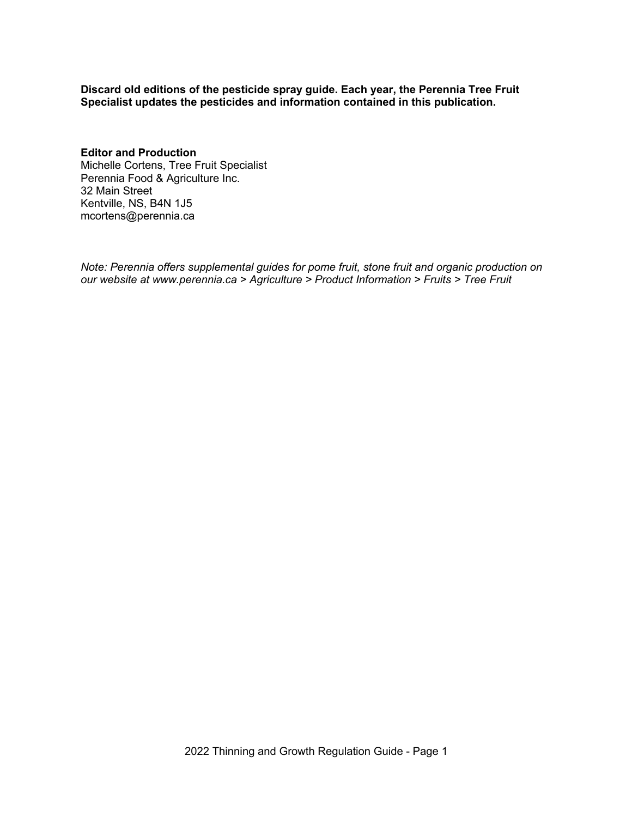**Discard old editions of the pesticide spray guide. Each year, the Perennia Tree Fruit Specialist updates the pesticides and information contained in this publication.**

**Editor and Production** Michelle Cortens, Tree Fruit Specialist Perennia Food & Agriculture Inc. 32 Main Street Kentville, NS, B4N 1J5 mcortens@perennia.ca

*Note: Perennia offers supplemental guides for pome fruit, stone fruit and organic production on our website at www.perennia.ca > Agriculture > Product Information > Fruits > Tree Fruit*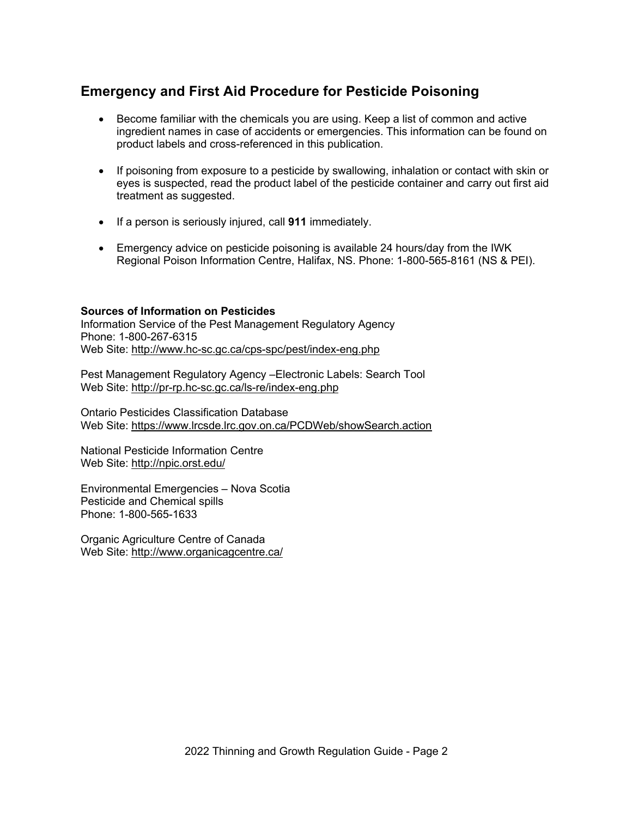## **Emergency and First Aid Procedure for Pesticide Poisoning**

- Become familiar with the chemicals you are using. Keep a list of common and active ingredient names in case of accidents or emergencies. This information can be found on product labels and cross-referenced in this publication.
- If poisoning from exposure to a pesticide by swallowing, inhalation or contact with skin or eyes is suspected, read the product label of the pesticide container and carry out first aid treatment as suggested.
- If a person is seriously injured, call **911** immediately.
- Emergency advice on pesticide poisoning is available 24 hours/day from the IWK Regional Poison Information Centre, Halifax, NS. Phone: 1-800-565-8161 (NS & PEI).

#### **Sources of Information on Pesticides**

Information Service of the Pest Management Regulatory Agency Phone: 1-800-267-6315 Web Site: http://www.hc-sc.gc.ca/cps-spc/pest/index-eng.php

Pest Management Regulatory Agency –Electronic Labels: Search Tool Web Site: http://pr-rp.hc-sc.gc.ca/ls-re/index-eng.php

Ontario Pesticides Classification Database Web Site: https://www.lrcsde.lrc.gov.on.ca/PCDWeb/showSearch.action

National Pesticide Information Centre Web Site: http://npic.orst.edu/

Environmental Emergencies – Nova Scotia Pesticide and Chemical spills Phone: 1-800-565-1633

Organic Agriculture Centre of Canada Web Site: http://www.organicagcentre.ca/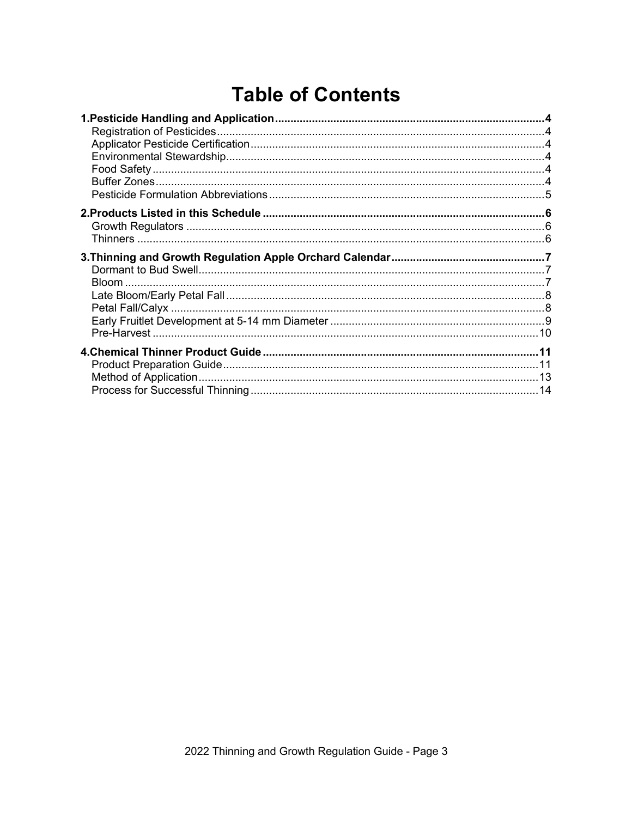# **Table of Contents**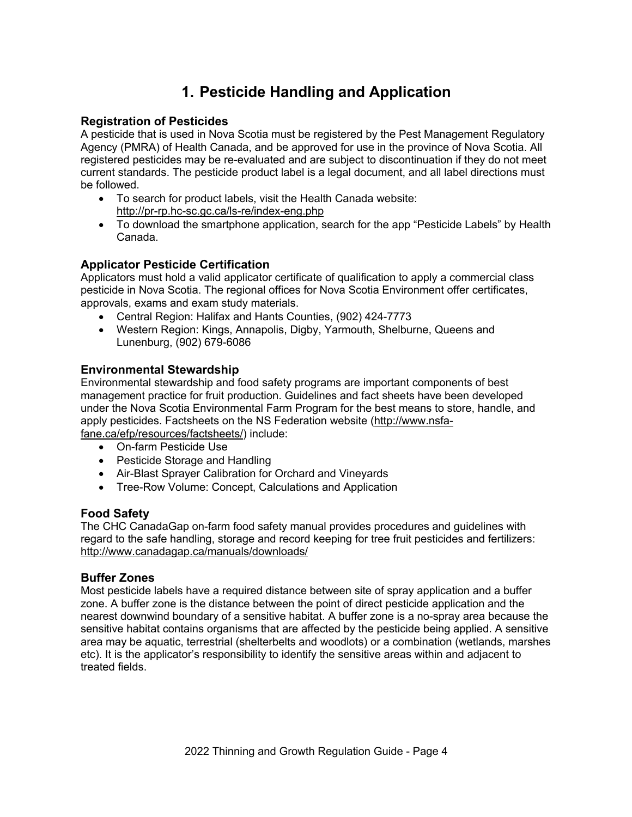# **1. Pesticide Handling and Application**

## **Registration of Pesticides**

A pesticide that is used in Nova Scotia must be registered by the Pest Management Regulatory Agency (PMRA) of Health Canada, and be approved for use in the province of Nova Scotia. All registered pesticides may be re-evaluated and are subject to discontinuation if they do not meet current standards. The pesticide product label is a legal document, and all label directions must be followed.

- To search for product labels, visit the Health Canada website: http://pr-rp.hc-sc.gc.ca/ls-re/index-eng.php
- To download the smartphone application, search for the app "Pesticide Labels" by Health Canada.

## **Applicator Pesticide Certification**

Applicators must hold a valid applicator certificate of qualification to apply a commercial class pesticide in Nova Scotia. The regional offices for Nova Scotia Environment offer certificates, approvals, exams and exam study materials.

- Central Region: Halifax and Hants Counties, (902) 424-7773
- Western Region: Kings, Annapolis, Digby, Yarmouth, Shelburne, Queens and Lunenburg, (902) 679-6086

## **Environmental Stewardship**

Environmental stewardship and food safety programs are important components of best management practice for fruit production. Guidelines and fact sheets have been developed under the Nova Scotia Environmental Farm Program for the best means to store, handle, and apply pesticides. Factsheets on the NS Federation website (http://www.nsfafane.ca/efp/resources/factsheets/) include:

- On-farm Pesticide Use
- Pesticide Storage and Handling
- Air-Blast Sprayer Calibration for Orchard and Vineyards
- Tree-Row Volume: Concept, Calculations and Application

#### **Food Safety**

The CHC CanadaGap on-farm food safety manual provides procedures and guidelines with regard to the safe handling, storage and record keeping for tree fruit pesticides and fertilizers: http://www.canadagap.ca/manuals/downloads/

## **Buffer Zones**

Most pesticide labels have a required distance between site of spray application and a buffer zone. A buffer zone is the distance between the point of direct pesticide application and the nearest downwind boundary of a sensitive habitat. A buffer zone is a no-spray area because the sensitive habitat contains organisms that are affected by the pesticide being applied. A sensitive area may be aquatic, terrestrial (shelterbelts and woodlots) or a combination (wetlands, marshes etc). It is the applicator's responsibility to identify the sensitive areas within and adjacent to treated fields.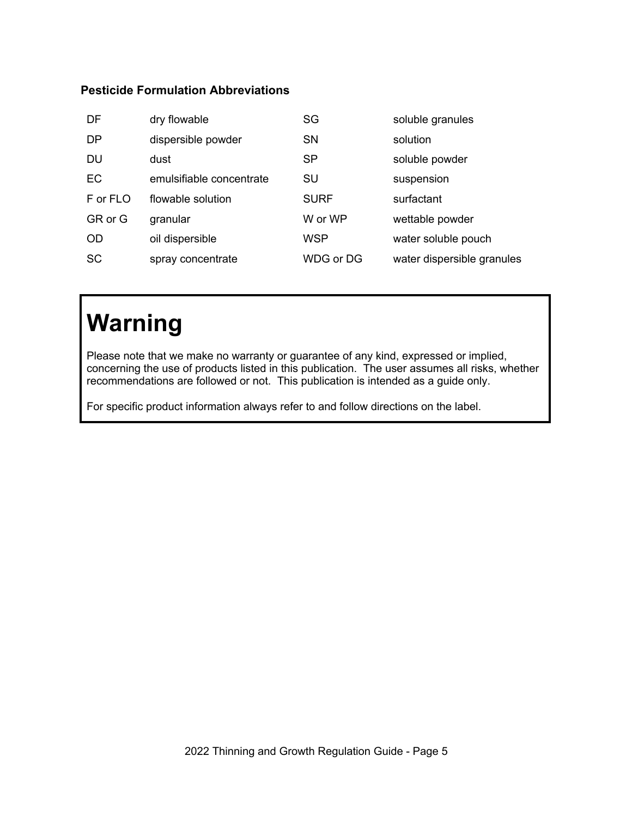## **Pesticide Formulation Abbreviations**

| DF        | dry flowable             | SG          | soluble granules           |
|-----------|--------------------------|-------------|----------------------------|
| <b>DP</b> | dispersible powder       | <b>SN</b>   | solution                   |
| <b>DU</b> | dust                     | <b>SP</b>   | soluble powder             |
| EC        | emulsifiable concentrate | SU          | suspension                 |
| F or FLO  | flowable solution        | <b>SURF</b> | surfactant                 |
| GR or G   | granular                 | W or WP     | wettable powder            |
| <b>OD</b> | oil dispersible          | <b>WSP</b>  | water soluble pouch        |
| <b>SC</b> | spray concentrate        | WDG or DG   | water dispersible granules |

# **Warning**

Please note that we make no warranty or guarantee of any kind, expressed or implied, concerning the use of products listed in this publication. The user assumes all risks, whether recommendations are followed or not. This publication is intended as a guide only.

For specific product information always refer to and follow directions on the label.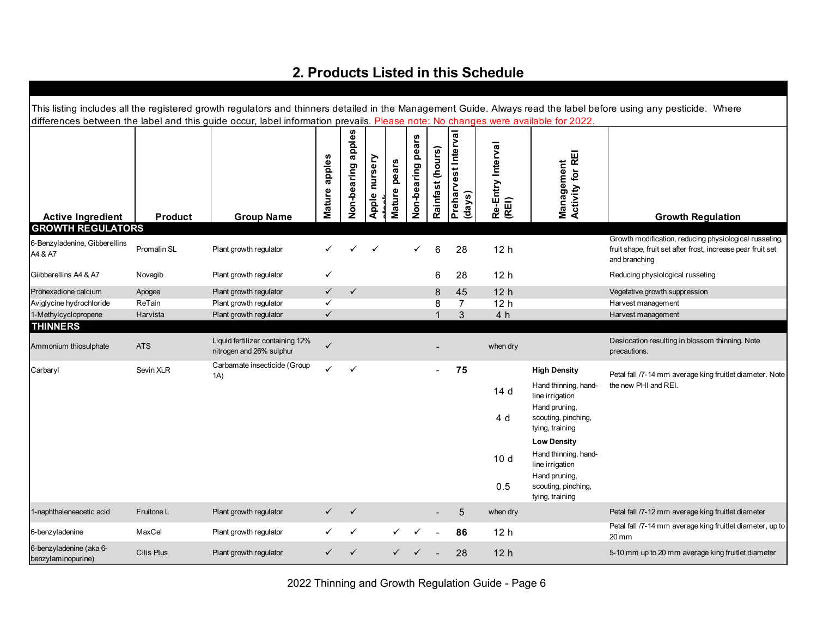## **2. Products Listed in this Schedule**

| This listing includes all the registered growth regulators and thinners detailed in the Management Guide. Always read the label before using any pesticide. Where<br>differences between the label and this guide occur, label information prevails. Please note: No changes were available for 2022. |             |                                                              |               |                    |               |              |                   |                  |                               |                            |                                                         |                                                                              |
|-------------------------------------------------------------------------------------------------------------------------------------------------------------------------------------------------------------------------------------------------------------------------------------------------------|-------------|--------------------------------------------------------------|---------------|--------------------|---------------|--------------|-------------------|------------------|-------------------------------|----------------------------|---------------------------------------------------------|------------------------------------------------------------------------------|
| <b>Active Ingredient</b>                                                                                                                                                                                                                                                                              | Product     | <b>Group Name</b>                                            | Mature apples | Non-bearing apples | Apple nursery | Mature pears | Non-bearing pears | Rainfast (hours) | Preharvest Interval<br>(days) | Re-Entry Interval<br>(REI) | Activity for REI<br>Management                          | <b>Growth Regulation</b>                                                     |
| <b>GROWTH REGULATORS</b><br>6-Benzyladenine, Gibberellins                                                                                                                                                                                                                                             |             |                                                              |               |                    |               |              |                   |                  |                               |                            |                                                         | Growth modification, reducing physiological russeting,                       |
| A4 & A7                                                                                                                                                                                                                                                                                               | Promalin SL | Plant growth regulator                                       |               |                    |               |              |                   | 6                | 28                            | 12 <sub>h</sub>            |                                                         | fruit shape, fruit set after frost, increase pear fruit set<br>and branching |
| Giibberellins A4 & A7                                                                                                                                                                                                                                                                                 | Novagib     | Plant growth regulator                                       | ✓             |                    |               |              |                   | 6                | 28                            | 12 <sub>h</sub>            |                                                         | Reducing physiological russeting                                             |
| Prohexadione calcium                                                                                                                                                                                                                                                                                  | Apogee      | Plant growth regulator                                       | $\checkmark$  | $\checkmark$       |               |              |                   | 8                | 45                            | 12 <sub>h</sub>            |                                                         | Vegetative growth suppression                                                |
| Aviglycine hydrochloride                                                                                                                                                                                                                                                                              | ReTain      | Plant growth regulator                                       | ✓             |                    |               |              |                   | 8                | $\overline{7}$                | 12 <sub>h</sub>            |                                                         | Harvest management                                                           |
| 1-Methylcyclopropene                                                                                                                                                                                                                                                                                  | Harvista    | Plant growth regulator                                       | $\checkmark$  |                    |               |              |                   | $\mathbf 1$      | $\mathfrak{Z}$                | 4 h                        |                                                         | Harvest management                                                           |
| <b>THINNERS</b><br>Ammonium thiosulphate                                                                                                                                                                                                                                                              | <b>ATS</b>  | Liquid fertilizer containing 12%<br>nitrogen and 26% sulphur | $\checkmark$  |                    |               |              |                   |                  |                               | when dry                   |                                                         | Desiccation resulting in blossom thinning. Note<br>precautions.              |
| Carbaryl                                                                                                                                                                                                                                                                                              | Sevin XLR   | Carbamate insecticide (Group<br>1A)                          | ✓             | $\checkmark$       |               |              |                   |                  | 75                            |                            | <b>High Density</b>                                     | Petal fall /7-14 mm average king fruitlet diameter. Note                     |
|                                                                                                                                                                                                                                                                                                       |             |                                                              |               |                    |               |              |                   |                  |                               | 14 d                       | Hand thinning, hand-<br>line irrigation                 | the new PHI and REI.                                                         |
|                                                                                                                                                                                                                                                                                                       |             |                                                              |               |                    |               |              |                   |                  |                               | 4 d                        | Hand pruning,<br>scouting, pinching,<br>tying, training |                                                                              |
|                                                                                                                                                                                                                                                                                                       |             |                                                              |               |                    |               |              |                   |                  |                               |                            | <b>Low Density</b>                                      |                                                                              |
|                                                                                                                                                                                                                                                                                                       |             |                                                              |               |                    |               |              |                   |                  |                               | 10 <sub>d</sub>            | Hand thinning, hand-<br>line irrigation                 |                                                                              |
|                                                                                                                                                                                                                                                                                                       |             |                                                              |               |                    |               |              |                   |                  |                               | 0.5                        | Hand pruning,<br>scouting, pinching,<br>tying, training |                                                                              |
| 1-naphthaleneacetic acid                                                                                                                                                                                                                                                                              | Fruitone L  | Plant growth regulator                                       | $\checkmark$  | ✓                  |               |              |                   |                  | 5                             | when dry                   |                                                         | Petal fall /7-12 mm average king fruitlet diameter                           |
| 6-benzyladenine                                                                                                                                                                                                                                                                                       | MaxCel      | Plant growth regulator                                       |               | ✓                  |               |              |                   |                  | 86                            | 12 <sub>h</sub>            |                                                         | Petal fall /7-14 mm average king fruitlet diameter, up to<br>20 mm           |
| 6-benzyladenine (aka 6-<br>benzylaminopurine)                                                                                                                                                                                                                                                         | Cilis Plus  | Plant growth regulator                                       |               | $\checkmark$       |               |              |                   |                  | 28                            | 12 <sub>h</sub>            |                                                         | 5-10 mm up to 20 mm average king fruitlet diameter                           |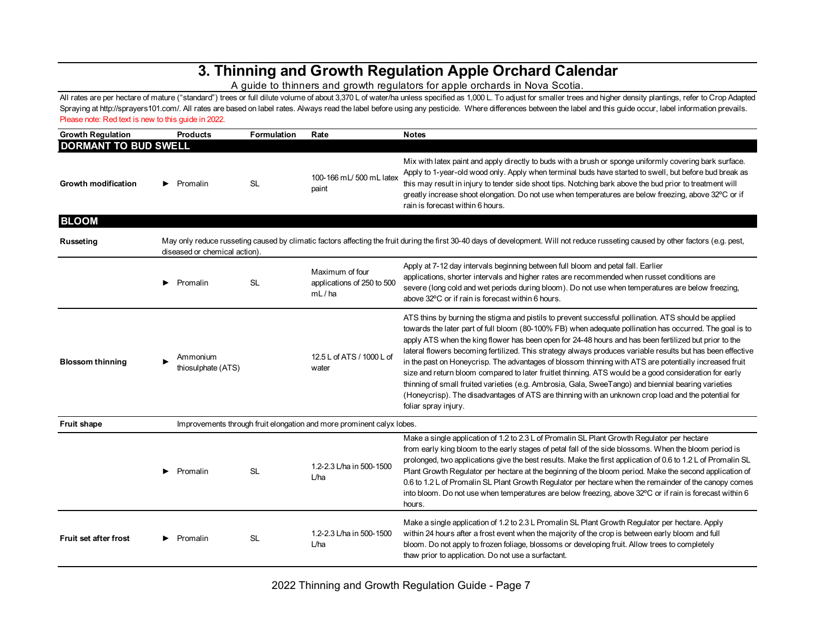## **3. Thinning and Growth Regulation Apple Orchard Calendar**

A guide to thinners and growth regulators for apple orchards in Nova Scotia.

All rates are per hectare of mature ("standard") trees or full dilute volume of about 3,370 L of water/ha unless specified as 1,000 L. To adjust for smaller trees and higher density plantings, refer to Crop Adapted Spraying at http://sprayers101.com/. All rates are based on label rates. Always read the label before using any pesticide. Where differences between the label and this guide occur, label information prevails. Please note: Red text is new to this guide in 2022.

| <b>Growth Regulation</b>     |   | <b>Products</b>                | <b>Formulation</b> | Rate                                                                  | <b>Notes</b>                                                                                                                                                                                                                                                                                                                                                                                                                                                                                                                                                                                                                                                                                                                                                                                                                                                                                      |
|------------------------------|---|--------------------------------|--------------------|-----------------------------------------------------------------------|---------------------------------------------------------------------------------------------------------------------------------------------------------------------------------------------------------------------------------------------------------------------------------------------------------------------------------------------------------------------------------------------------------------------------------------------------------------------------------------------------------------------------------------------------------------------------------------------------------------------------------------------------------------------------------------------------------------------------------------------------------------------------------------------------------------------------------------------------------------------------------------------------|
| <b>DORMANT TO BUD SWELL</b>  |   |                                |                    |                                                                       |                                                                                                                                                                                                                                                                                                                                                                                                                                                                                                                                                                                                                                                                                                                                                                                                                                                                                                   |
| <b>Growth modification</b>   |   | Promalin                       | <b>SL</b>          | 100-166 mL/ 500 mL latex<br>paint                                     | Mix with latex paint and apply directly to buds with a brush or sponge uniformly covering bark surface.<br>Apply to 1-year-old wood only. Apply when terminal buds have started to swell, but before bud break as<br>this may result in injury to tender side shoot tips. Notching bark above the bud prior to treatment will<br>greatly increase shoot elongation. Do not use when temperatures are below freezing, above 32°C or if<br>rain is forecast within 6 hours.                                                                                                                                                                                                                                                                                                                                                                                                                         |
| <b>BLOOM</b>                 |   |                                |                    |                                                                       |                                                                                                                                                                                                                                                                                                                                                                                                                                                                                                                                                                                                                                                                                                                                                                                                                                                                                                   |
| <b>Russeting</b>             |   | diseased or chemical action).  |                    |                                                                       | May only reduce russeting caused by climatic factors affecting the fruit during the first 30-40 days of development. Will not reduce russeting caused by other factors (e.g. pest,                                                                                                                                                                                                                                                                                                                                                                                                                                                                                                                                                                                                                                                                                                                |
|                              | ▶ | Promalin                       | <b>SL</b>          | Maximum of four<br>applications of 250 to 500<br>mL/ha                | Apply at 7-12 day intervals beginning between full bloom and petal fall. Earlier<br>applications, shorter intervals and higher rates are recommended when russet conditions are<br>severe (long cold and wet periods during bloom). Do not use when temperatures are below freezing,<br>above 32°C or if rain is forecast within 6 hours.                                                                                                                                                                                                                                                                                                                                                                                                                                                                                                                                                         |
| <b>Blossom thinning</b>      |   | Ammonium<br>thiosulphate (ATS) |                    | 12.5 L of ATS / 1000 L of<br>water                                    | ATS thins by burning the stigma and pistils to prevent successful pollination. ATS should be applied<br>towards the later part of full bloom (80-100% FB) when adequate pollination has occurred. The goal is to<br>apply ATS when the king flower has been open for 24-48 hours and has been fertilized but prior to the<br>lateral flowers becoming fertilized. This strategy always produces variable results but has been effective<br>in the past on Honeycrisp. The advantages of blossom thinning with ATS are potentially increased fruit<br>size and return bloom compared to later fruitlet thinning. ATS would be a good consideration for early<br>thinning of small fruited varieties (e.g. Ambrosia, Gala, SweeTango) and biennial bearing varieties<br>(Honeycrisp). The disadvantages of ATS are thinning with an unknown crop load and the potential for<br>foliar spray injury. |
| <b>Fruit shape</b>           |   |                                |                    | Improvements through fruit elongation and more prominent calyx lobes. |                                                                                                                                                                                                                                                                                                                                                                                                                                                                                                                                                                                                                                                                                                                                                                                                                                                                                                   |
|                              |   | Promalin                       | <b>SL</b>          | 1.2-2.3 L/ha in 500-1500<br>L/ha                                      | Make a single application of 1.2 to 2.3 L of Promalin SL Plant Growth Regulator per hectare<br>from early king bloom to the early stages of petal fall of the side blossoms. When the bloom period is<br>prolonged, two applications give the best results. Make the first application of 0.6 to 1.2 L of Promalin SL<br>Plant Growth Regulator per hectare at the beginning of the bloom period. Make the second application of<br>0.6 to 1.2 L of Promalin SL Plant Growth Regulator per hectare when the remainder of the canopy comes<br>into bloom. Do not use when temperatures are below freezing, above 32°C or if rain is forecast within 6<br>hours.                                                                                                                                                                                                                                    |
| <b>Fruit set after frost</b> |   | Promalin                       | SL                 | 1.2-2.3 L/ha in 500-1500<br>L/ha                                      | Make a single application of 1.2 to 2.3 L Promalin SL Plant Growth Regulator per hectare. Apply<br>within 24 hours after a frost event when the majority of the crop is between early bloom and full<br>bloom. Do not apply to frozen foliage, blossoms or developing fruit. Allow trees to completely<br>thaw prior to application. Do not use a surfactant.                                                                                                                                                                                                                                                                                                                                                                                                                                                                                                                                     |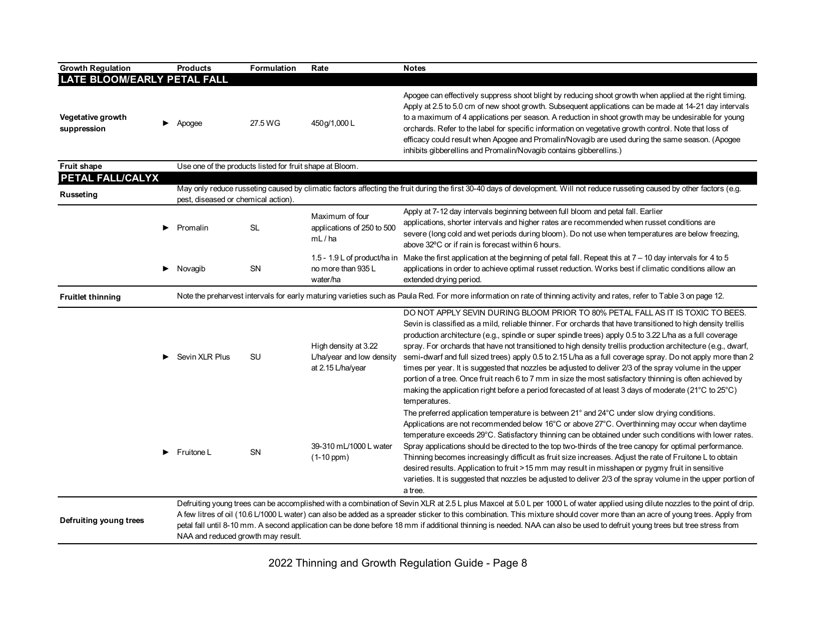| <b>Growth Regulation</b>                                           |                                                                                                                                                                                                                                                                                                                                                                                                                                                                                                                                                                                                                                                                                                                                                                                         | <b>Products</b>                                          | Formulation | Rate                                                                   | <b>Notes</b>                                                                                                                                                                                                                                                                                                                                                                                                                                                                                                                                                                                                                                                                                                                                                                                                                                                                                 |
|--------------------------------------------------------------------|-----------------------------------------------------------------------------------------------------------------------------------------------------------------------------------------------------------------------------------------------------------------------------------------------------------------------------------------------------------------------------------------------------------------------------------------------------------------------------------------------------------------------------------------------------------------------------------------------------------------------------------------------------------------------------------------------------------------------------------------------------------------------------------------|----------------------------------------------------------|-------------|------------------------------------------------------------------------|----------------------------------------------------------------------------------------------------------------------------------------------------------------------------------------------------------------------------------------------------------------------------------------------------------------------------------------------------------------------------------------------------------------------------------------------------------------------------------------------------------------------------------------------------------------------------------------------------------------------------------------------------------------------------------------------------------------------------------------------------------------------------------------------------------------------------------------------------------------------------------------------|
| <b>LATE BLOOM/EARLY PETAL FALL</b>                                 |                                                                                                                                                                                                                                                                                                                                                                                                                                                                                                                                                                                                                                                                                                                                                                                         |                                                          |             |                                                                        |                                                                                                                                                                                                                                                                                                                                                                                                                                                                                                                                                                                                                                                                                                                                                                                                                                                                                              |
| <b>Vegetative growth</b><br>suppression                            |                                                                                                                                                                                                                                                                                                                                                                                                                                                                                                                                                                                                                                                                                                                                                                                         | Apogee                                                   | 27.5 WG     | 450g/1,000L                                                            | Apogee can effectively suppress shoot blight by reducing shoot growth when applied at the right timing.<br>Apply at 2.5 to 5.0 cm of new shoot growth. Subsequent applications can be made at 14-21 day intervals<br>to a maximum of 4 applications per season. A reduction in shoot growth may be undesirable for young<br>orchards. Refer to the label for specific information on vegetative growth control. Note that loss of<br>efficacy could result when Apogee and Promalin/Novagib are used during the same season. (Apogee<br>inhibits gibberellins and Promalin/Novagib contains gibberellins.)                                                                                                                                                                                                                                                                                   |
| Fruit shape                                                        |                                                                                                                                                                                                                                                                                                                                                                                                                                                                                                                                                                                                                                                                                                                                                                                         | Use one of the products listed for fruit shape at Bloom. |             |                                                                        |                                                                                                                                                                                                                                                                                                                                                                                                                                                                                                                                                                                                                                                                                                                                                                                                                                                                                              |
| PETAL FALL/CALYX                                                   |                                                                                                                                                                                                                                                                                                                                                                                                                                                                                                                                                                                                                                                                                                                                                                                         |                                                          |             |                                                                        |                                                                                                                                                                                                                                                                                                                                                                                                                                                                                                                                                                                                                                                                                                                                                                                                                                                                                              |
| Russeting                                                          |                                                                                                                                                                                                                                                                                                                                                                                                                                                                                                                                                                                                                                                                                                                                                                                         | pest, diseased or chemical action).                      |             |                                                                        | May only reduce russeting caused by climatic factors affecting the fruit during the first 30-40 days of development. Will not reduce russeting caused by other factors (e.g.                                                                                                                                                                                                                                                                                                                                                                                                                                                                                                                                                                                                                                                                                                                 |
|                                                                    |                                                                                                                                                                                                                                                                                                                                                                                                                                                                                                                                                                                                                                                                                                                                                                                         | Promalin                                                 | <b>SL</b>   | Maximum of four<br>applications of 250 to 500<br>mL/ha                 | Apply at 7-12 day intervals beginning between full bloom and petal fall. Earlier<br>applications, shorter intervals and higher rates are recommended when russet conditions are<br>severe (long cold and wet periods during bloom). Do not use when temperatures are below freezing,<br>above 32°C or if rain is forecast within 6 hours.                                                                                                                                                                                                                                                                                                                                                                                                                                                                                                                                                    |
|                                                                    | ▶                                                                                                                                                                                                                                                                                                                                                                                                                                                                                                                                                                                                                                                                                                                                                                                       | Novagib                                                  | <b>SN</b>   | no more than 935 L<br>water/ha                                         | 1.5 - 1.9 L of product/ha in Make the first application at the beginning of petal fall. Repeat this at 7 – 10 day intervals for 4 to 5<br>applications in order to achieve optimal russet reduction. Works best if climatic conditions allow an<br>extended drying period.                                                                                                                                                                                                                                                                                                                                                                                                                                                                                                                                                                                                                   |
| <b>Fruitlet thinning</b>                                           |                                                                                                                                                                                                                                                                                                                                                                                                                                                                                                                                                                                                                                                                                                                                                                                         |                                                          |             |                                                                        | Note the preharvest intervals for early maturing varieties such as Paula Red. For more information on rate of thinning activity and rates, refer to Table 3 on page 12.                                                                                                                                                                                                                                                                                                                                                                                                                                                                                                                                                                                                                                                                                                                      |
|                                                                    |                                                                                                                                                                                                                                                                                                                                                                                                                                                                                                                                                                                                                                                                                                                                                                                         | Sevin XLR Plus                                           | <b>SU</b>   | High density at 3.22<br>L/ha/year and low density<br>at 2.15 L/ha/year | DO NOT APPLY SEVIN DURING BLOOM PRIOR TO 80% PETAL FALL AS IT IS TOXIC TO BEES.<br>Sevin is classified as a mild, reliable thinner. For orchards that have transitioned to high density trellis<br>production architecture (e.g., spindle or super spindle trees) apply 0.5 to 3.22 L/ha as a full coverage<br>spray. For orchards that have not transitioned to high density trellis production architecture (e.g., dwarf,<br>semi-dwarf and full sized trees) apply 0.5 to 2.15 L/ha as a full coverage spray. Do not apply more than 2<br>times per year. It is suggested that nozzles be adjusted to deliver 2/3 of the spray volume in the upper<br>portion of a tree. Once fruit reach 6 to 7 mm in size the most satisfactory thinning is often achieved by<br>making the application right before a period forecasted of at least 3 days of moderate (21°C to 25°C)<br>temperatures. |
| 39-310 mL/1000 L water<br>SN<br>Fruitone L<br>▶<br>$(1-10$ ppm $)$ | The preferred application temperature is between 21° and 24°C under slow drying conditions.<br>Applications are not recommended below 16 $^{\circ}$ C or above 27 $^{\circ}$ C. Overthinning may occur when daytime<br>temperature exceeds 29°C. Satisfactory thinning can be obtained under such conditions with lower rates.<br>Spray applications should be directed to the top two-thirds of the tree canopy for optimal performance.<br>Thinning becomes increasingly difficult as fruit size increases. Adjust the rate of Fruitone L to obtain<br>desired results. Application to fruit > 15 mm may result in misshapen or pygmy fruit in sensitive<br>varieties. It is suggested that nozzles be adjusted to deliver 2/3 of the spray volume in the upper portion of<br>a tree. |                                                          |             |                                                                        |                                                                                                                                                                                                                                                                                                                                                                                                                                                                                                                                                                                                                                                                                                                                                                                                                                                                                              |
| Defruiting young trees                                             |                                                                                                                                                                                                                                                                                                                                                                                                                                                                                                                                                                                                                                                                                                                                                                                         | NAA and reduced growth may result.                       |             |                                                                        | Defruiting young trees can be accomplished with a combination of Sevin XLR at 2.5 L plus Maxcel at 5.0 L per 1000 L of water applied using dilute nozzles to the point of drip.<br>A few litres of oil (10.6 L/1000 L water) can also be added as a spreader sticker to this combination. This mixture should cover more than an acre of young trees. Apply from<br>petal fall until 8-10 mm. A second application can be done before 18 mm if additional thinning is needed. NAA can also be used to defruit young trees but tree stress from                                                                                                                                                                                                                                                                                                                                               |

2022 Thinning and Growth Regulation Guide - Page 8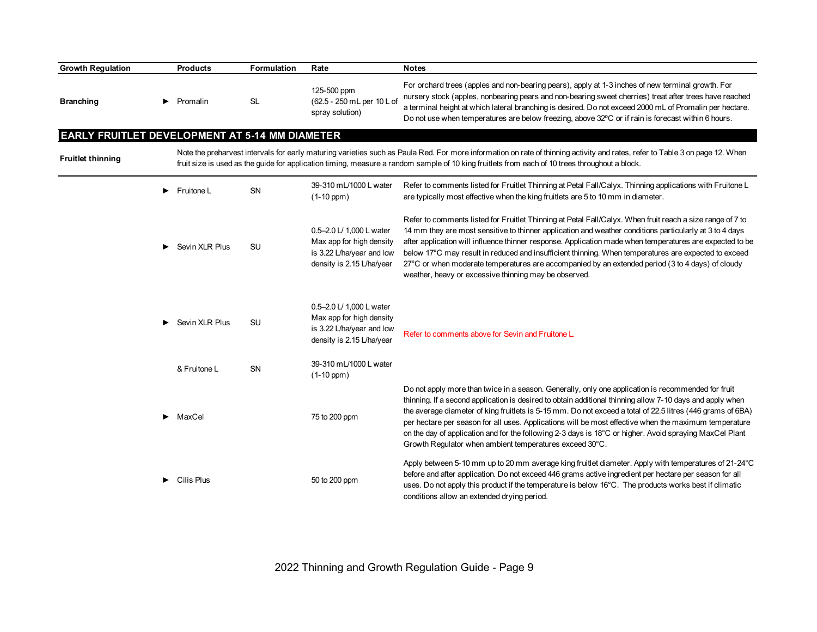| <b>Growth Regulation</b>                       |   | <b>Products</b>             | Formulation | Rate                                                                                                           | <b>Notes</b>                                                                                                                                                                                                                                                                                                                                                                                                                                                                                                                                                                                                 |
|------------------------------------------------|---|-----------------------------|-------------|----------------------------------------------------------------------------------------------------------------|--------------------------------------------------------------------------------------------------------------------------------------------------------------------------------------------------------------------------------------------------------------------------------------------------------------------------------------------------------------------------------------------------------------------------------------------------------------------------------------------------------------------------------------------------------------------------------------------------------------|
| <b>Branching</b>                               | ▶ | Promalin                    | <b>SL</b>   | 125-500 ppm<br>(62.5 - 250 mL per 10 L of<br>spray solution)                                                   | For orchard trees (apples and non-bearing pears), apply at 1-3 inches of new terminal growth. For<br>nursery stock (apples, nonbearing pears and non-bearing sweet cherries) treat after trees have reached<br>a terminal height at which lateral branching is desired. Do not exceed 2000 mL of Promalin per hectare.<br>Do not use when temperatures are below freezing, above 32°C or if rain is forecast within 6 hours.                                                                                                                                                                                 |
| EARLY FRUITLET DEVELOPMENT AT 5-14 MM DIAMETER |   |                             |             |                                                                                                                |                                                                                                                                                                                                                                                                                                                                                                                                                                                                                                                                                                                                              |
| <b>Fruitlet thinning</b>                       |   |                             |             |                                                                                                                | Note the preharvest intervals for early maturing varieties such as Paula Red. For more information on rate of thinning activity and rates, refer to Table 3 on page 12. When<br>fruit size is used as the guide for application timing, measure a random sample of 10 king fruitlets from each of 10 trees throughout a block.                                                                                                                                                                                                                                                                               |
|                                                | ▶ | Fruitone L                  | SN          | 39-310 mL/1000 L water<br>$(1-10$ ppm $)$                                                                      | Refer to comments listed for Fruitlet Thinning at Petal Fall/Calyx. Thinning applications with Fruitone L<br>are typically most effective when the king fruitlets are 5 to 10 mm in diameter.                                                                                                                                                                                                                                                                                                                                                                                                                |
|                                                | ▶ | Sevin XLR Plus              | SU          | 0.5-2.0 L/ 1,000 L water<br>Max app for high density<br>is 3.22 L/ha/year and low<br>density is 2.15 L/ha/year | Refer to comments listed for Fruitlet Thinning at Petal Fall/Calyx. When fruit reach a size range of 7 to<br>14 mm they are most sensitive to thinner application and weather conditions particularly at 3 to 4 days<br>after application will influence thinner response. Application made when temperatures are expected to be<br>below 17°C may result in reduced and insufficient thinning. When temperatures are expected to exceed<br>27°C or when moderate temperatures are accompanied by an extended period (3 to 4 days) of cloudy<br>weather, heavy or excessive thinning may be observed.        |
|                                                | ▶ | Sevin XLR Plus              | <b>SU</b>   | 0.5-2.0 L/ 1,000 L water<br>Max app for high density<br>is 3.22 L/ha/year and low<br>density is 2.15 L/ha/year | Refer to comments above for Sevin and Fruitone L.                                                                                                                                                                                                                                                                                                                                                                                                                                                                                                                                                            |
|                                                |   | & Fruitone L                | SN          | 39-310 mL/1000 L water<br>$(1-10$ ppm $)$                                                                      |                                                                                                                                                                                                                                                                                                                                                                                                                                                                                                                                                                                                              |
|                                                | ▶ | MaxCel                      |             | 75 to 200 ppm                                                                                                  | Do not apply more than twice in a season. Generally, only one application is recommended for fruit<br>thinning. If a second application is desired to obtain additional thinning allow 7-10 days and apply when<br>the average diameter of king fruitlets is 5-15 mm. Do not exceed a total of 22.5 litres (446 grams of 6BA)<br>per hectare per season for all uses. Applications will be most effective when the maximum temperature<br>on the day of application and for the following 2-3 days is 18°C or higher. Avoid spraying MaxCel Plant<br>Growth Regulator when ambient temperatures exceed 30°C. |
|                                                |   | $\triangleright$ Cilis Plus |             | 50 to 200 ppm                                                                                                  | Apply between 5-10 mm up to 20 mm average king fruitlet diameter. Apply with temperatures of 21-24°C<br>before and after application. Do not exceed 446 grams active ingredient per hectare per season for all<br>uses. Do not apply this product if the temperature is below 16°C. The products works best if climatic<br>conditions allow an extended drying period.                                                                                                                                                                                                                                       |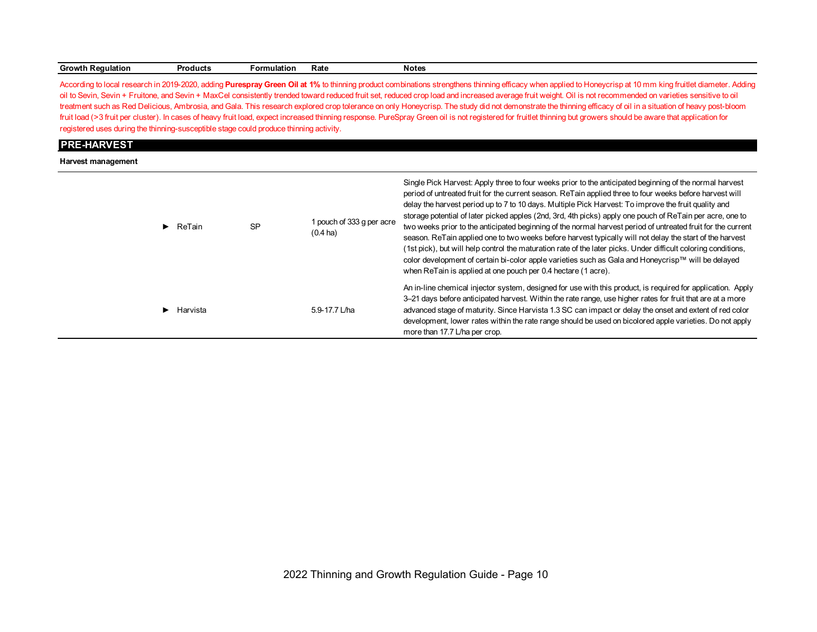| Growth<br>ı Reaulation | roducts | <b>Formulation</b> | rale | Notes |  |
|------------------------|---------|--------------------|------|-------|--|
|------------------------|---------|--------------------|------|-------|--|

According to local research in 2019-2020, adding Purespray Green Oil at 1% to thinning product combinations strengthens thinning efficacy when applied to Honeycrisp at 10 mm king fruitlet diameter. Adding oil to Sevin, Sevin + Fruitone, and Sevin + MaxCel consistently trended toward reduced fruit set, reduced crop load and increased average fruit weight. Oil is not recommended on varieties sensitive to oil treatment such as Red Delicious, Ambrosia, and Gala. This research explored crop tolerance on only Honeycrisp. The study did not demonstrate the thinning efficacy of oil in a situation of heavy post-bloom fruit load (>3 fruit per cluster). In cases of heavy fruit load, expect increased thinning response. PureSpray Green oil is not registered for fruitlet thinning but growers should be aware that application for registered uses during the thinning-susceptible stage could produce thinning activity.

#### **PRE-HARVEST**

**Harvest management**

| $\blacktriangleright$ ReTain | <b>SP</b> | 1 pouch of 333 g per acre<br>$(0.4 \text{ ha})$ | Single Pick Harvest: Apply three to four weeks prior to the anticipated beginning of the normal harvest<br>period of untreated fruit for the current season. ReTain applied three to four weeks before harvest will<br>delay the harvest period up to 7 to 10 days. Multiple Pick Harvest: To improve the fruit quality and<br>storage potential of later picked apples (2nd, 3rd, 4th picks) apply one pouch of ReTain per acre, one to<br>two weeks prior to the anticipated beginning of the normal harvest period of untreated fruit for the current<br>season. ReTain applied one to two weeks before harvest typically will not delay the start of the harvest<br>(1st pick), but will help control the maturation rate of the later picks. Under difficult coloring conditions,<br>color development of certain bi-color apple varieties such as Gala and Honeycrisp™ will be delayed<br>when ReTain is applied at one pouch per 0.4 hectare (1 acre). |
|------------------------------|-----------|-------------------------------------------------|---------------------------------------------------------------------------------------------------------------------------------------------------------------------------------------------------------------------------------------------------------------------------------------------------------------------------------------------------------------------------------------------------------------------------------------------------------------------------------------------------------------------------------------------------------------------------------------------------------------------------------------------------------------------------------------------------------------------------------------------------------------------------------------------------------------------------------------------------------------------------------------------------------------------------------------------------------------|
| Harvista                     |           | 5.9-17.7 L/ha                                   | An in-line chemical injector system, designed for use with this product, is required for application. Apply<br>3–21 days before anticipated harvest. Within the rate range, use higher rates for fruit that are at a more<br>advanced stage of maturity. Since Harvista 1.3 SC can impact or delay the onset and extent of red color<br>development, lower rates within the rate range should be used on bicolored apple varieties. Do not apply<br>more than 17.7 L/ha per crop.                                                                                                                                                                                                                                                                                                                                                                                                                                                                             |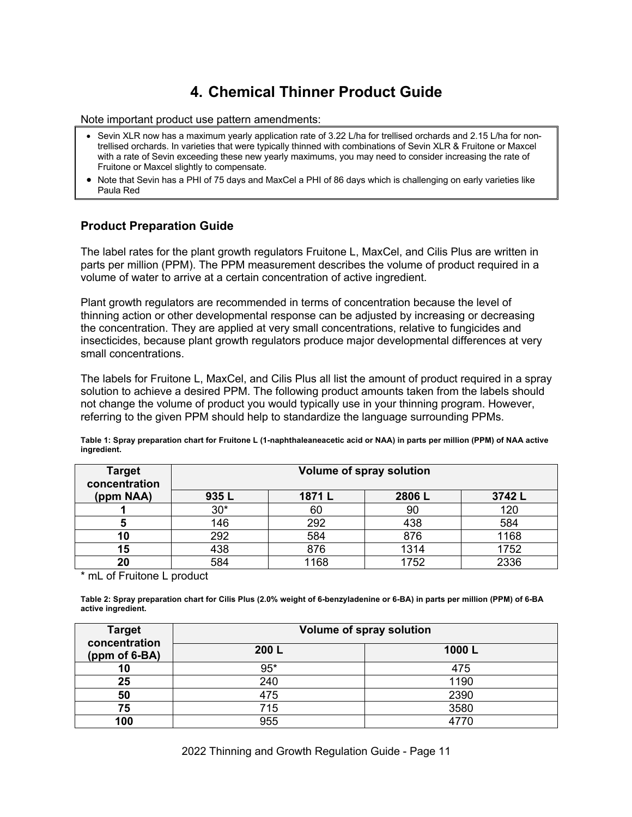# **4. Chemical Thinner Product Guide**

Note important product use pattern amendments:

- Sevin XLR now has a maximum yearly application rate of 3.22 L/ha for trellised orchards and 2.15 L/ha for nontrellised orchards. In varieties that were typically thinned with combinations of Sevin XLR & Fruitone or Maxcel with a rate of Sevin exceeding these new yearly maximums, you may need to consider increasing the rate of Fruitone or Maxcel slightly to compensate.
- Note that Sevin has a PHI of 75 days and MaxCel a PHI of 86 days which is challenging on early varieties like Paula Red

## **Product Preparation Guide**

The label rates for the plant growth regulators Fruitone L, MaxCel, and Cilis Plus are written in parts per million (PPM). The PPM measurement describes the volume of product required in a volume of water to arrive at a certain concentration of active ingredient.

Plant growth regulators are recommended in terms of concentration because the level of thinning action or other developmental response can be adjusted by increasing or decreasing the concentration. They are applied at very small concentrations, relative to fungicides and insecticides, because plant growth regulators produce major developmental differences at very small concentrations.

The labels for Fruitone L, MaxCel, and Cilis Plus all list the amount of product required in a spray solution to achieve a desired PPM. The following product amounts taken from the labels should not change the volume of product you would typically use in your thinning program. However, referring to the given PPM should help to standardize the language surrounding PPMs.

| <b>THALEMENT</b>               |                                 |       |       |        |  |  |  |  |  |
|--------------------------------|---------------------------------|-------|-------|--------|--|--|--|--|--|
| <b>Target</b><br>concentration | <b>Volume of spray solution</b> |       |       |        |  |  |  |  |  |
| (ppm NAA)                      | 935L                            | 1871L | 2806L | 3742 L |  |  |  |  |  |
|                                | $30*$                           | 60    | 90    | 120    |  |  |  |  |  |
|                                | 146                             | つロつ   | 438   | 584    |  |  |  |  |  |

**10** 292 584 876 1168 **15** 438 876 1314 1752 **20** 584 1168 1752 2336

**Table 1: Spray preparation chart for Fruitone L (1-naphthaleaneacetic acid or NAA) in parts per million (PPM) of NAA active ingredient.**

mL of Fruitone L product

**Table 2: Spray preparation chart for Cilis Plus (2.0% weight of 6-benzyladenine or 6-BA) in parts per million (PPM) of 6-BA active ingredient.**

| <b>Target</b><br>concentration | <b>Volume of spray solution</b> |       |  |  |  |  |
|--------------------------------|---------------------------------|-------|--|--|--|--|
| (ppm of 6-BA)                  | 200 L                           | 1000L |  |  |  |  |
| 10                             | $95*$                           | 475   |  |  |  |  |
| 25                             | 240                             | 1190  |  |  |  |  |
| 50                             | 475                             | 2390  |  |  |  |  |
| 75                             | 715                             | 3580  |  |  |  |  |
| 100                            | 955                             |       |  |  |  |  |

2022 Thinning and Growth Regulation Guide - Page 11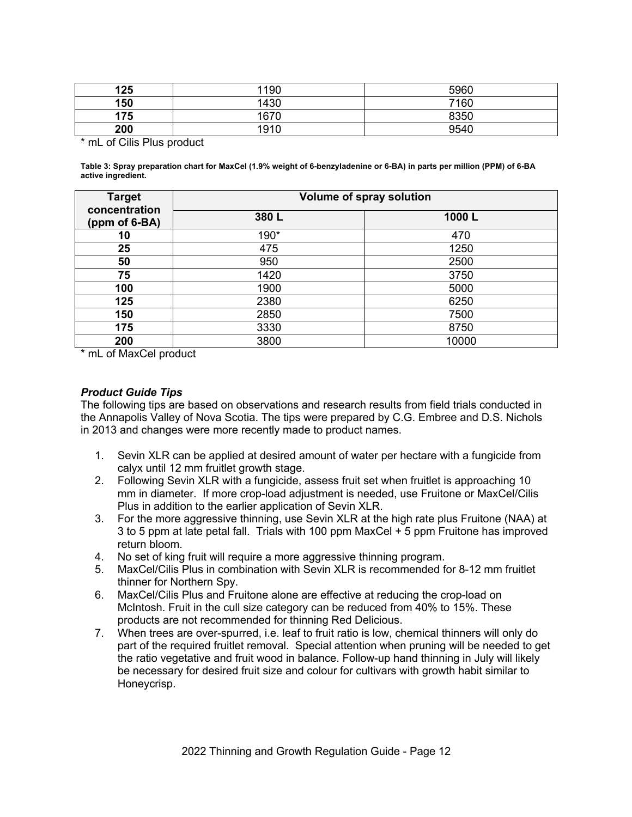| 125 | 1190 | 5960 |
|-----|------|------|
| 150 | 1430 | 7160 |
| 175 | 1670 | 8350 |
| 200 | 1910 | 9540 |

\* mL of Cilis Plus product

**Table 3: Spray preparation chart for MaxCel (1.9% weight of 6-benzyladenine or 6-BA) in parts per million (PPM) of 6-BA active ingredient.**

| <b>Target</b>                  | <b>Volume of spray solution</b> |       |  |  |  |  |
|--------------------------------|---------------------------------|-------|--|--|--|--|
| concentration<br>(ppm of 6-BA) | 380L                            | 1000L |  |  |  |  |
| 10                             | 190*                            | 470   |  |  |  |  |
| 25                             | 475                             | 1250  |  |  |  |  |
| 50                             | 950                             | 2500  |  |  |  |  |
| 75                             | 1420                            | 3750  |  |  |  |  |
| 100                            | 1900                            | 5000  |  |  |  |  |
| 125                            | 2380                            | 6250  |  |  |  |  |
| 150                            | 2850                            | 7500  |  |  |  |  |
| 175                            | 3330                            | 8750  |  |  |  |  |
| 200                            | 3800                            | 10000 |  |  |  |  |

\* mL of MaxCel product

## *Product Guide Tips*

The following tips are based on observations and research results from field trials conducted in the Annapolis Valley of Nova Scotia. The tips were prepared by C.G. Embree and D.S. Nichols in 2013 and changes were more recently made to product names.

- 1. Sevin XLR can be applied at desired amount of water per hectare with a fungicide from calyx until 12 mm fruitlet growth stage.
- 2. Following Sevin XLR with a fungicide, assess fruit set when fruitlet is approaching 10 mm in diameter. If more crop-load adjustment is needed, use Fruitone or MaxCel/Cilis Plus in addition to the earlier application of Sevin XLR.
- 3. For the more aggressive thinning, use Sevin XLR at the high rate plus Fruitone (NAA) at 3 to 5 ppm at late petal fall. Trials with 100 ppm MaxCel + 5 ppm Fruitone has improved return bloom.
- 4. No set of king fruit will require a more aggressive thinning program.
- 5. MaxCel/Cilis Plus in combination with Sevin XLR is recommended for 8-12 mm fruitlet thinner for Northern Spy.
- 6. MaxCel/Cilis Plus and Fruitone alone are effective at reducing the crop-load on McIntosh. Fruit in the cull size category can be reduced from 40% to 15%. These products are not recommended for thinning Red Delicious.
- 7. When trees are over-spurred, i.e. leaf to fruit ratio is low, chemical thinners will only do part of the required fruitlet removal. Special attention when pruning will be needed to get the ratio vegetative and fruit wood in balance. Follow-up hand thinning in July will likely be necessary for desired fruit size and colour for cultivars with growth habit similar to Honeycrisp.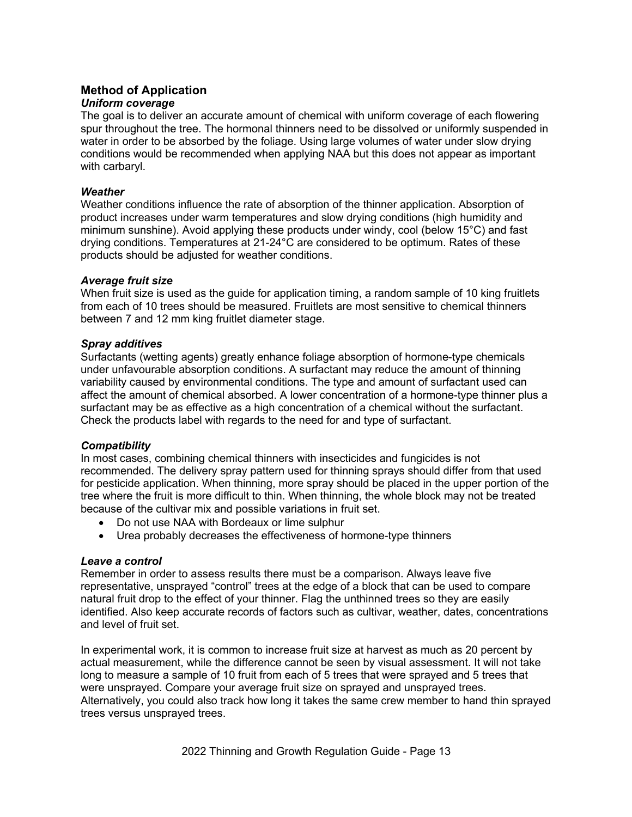## **Method of Application**

#### *Uniform coverage*

The goal is to deliver an accurate amount of chemical with uniform coverage of each flowering spur throughout the tree. The hormonal thinners need to be dissolved or uniformly suspended in water in order to be absorbed by the foliage. Using large volumes of water under slow drying conditions would be recommended when applying NAA but this does not appear as important with carbaryl.

## *Weather*

Weather conditions influence the rate of absorption of the thinner application. Absorption of product increases under warm temperatures and slow drying conditions (high humidity and minimum sunshine). Avoid applying these products under windy, cool (below 15°C) and fast drying conditions. Temperatures at 21-24°C are considered to be optimum. Rates of these products should be adjusted for weather conditions.

## *Average fruit size*

When fruit size is used as the guide for application timing, a random sample of 10 king fruitlets from each of 10 trees should be measured. Fruitlets are most sensitive to chemical thinners between 7 and 12 mm king fruitlet diameter stage.

## *Spray additives*

Surfactants (wetting agents) greatly enhance foliage absorption of hormone-type chemicals under unfavourable absorption conditions. A surfactant may reduce the amount of thinning variability caused by environmental conditions. The type and amount of surfactant used can affect the amount of chemical absorbed. A lower concentration of a hormone-type thinner plus a surfactant may be as effective as a high concentration of a chemical without the surfactant. Check the products label with regards to the need for and type of surfactant.

## *Compatibility*

In most cases, combining chemical thinners with insecticides and fungicides is not recommended. The delivery spray pattern used for thinning sprays should differ from that used for pesticide application. When thinning, more spray should be placed in the upper portion of the tree where the fruit is more difficult to thin. When thinning, the whole block may not be treated because of the cultivar mix and possible variations in fruit set.

- Do not use NAA with Bordeaux or lime sulphur
- Urea probably decreases the effectiveness of hormone-type thinners

#### *Leave a control*

Remember in order to assess results there must be a comparison. Always leave five representative, unsprayed "control" trees at the edge of a block that can be used to compare natural fruit drop to the effect of your thinner. Flag the unthinned trees so they are easily identified. Also keep accurate records of factors such as cultivar, weather, dates, concentrations and level of fruit set.

In experimental work, it is common to increase fruit size at harvest as much as 20 percent by actual measurement, while the difference cannot be seen by visual assessment. It will not take long to measure a sample of 10 fruit from each of 5 trees that were sprayed and 5 trees that were unsprayed. Compare your average fruit size on sprayed and unsprayed trees. Alternatively, you could also track how long it takes the same crew member to hand thin sprayed trees versus unsprayed trees.